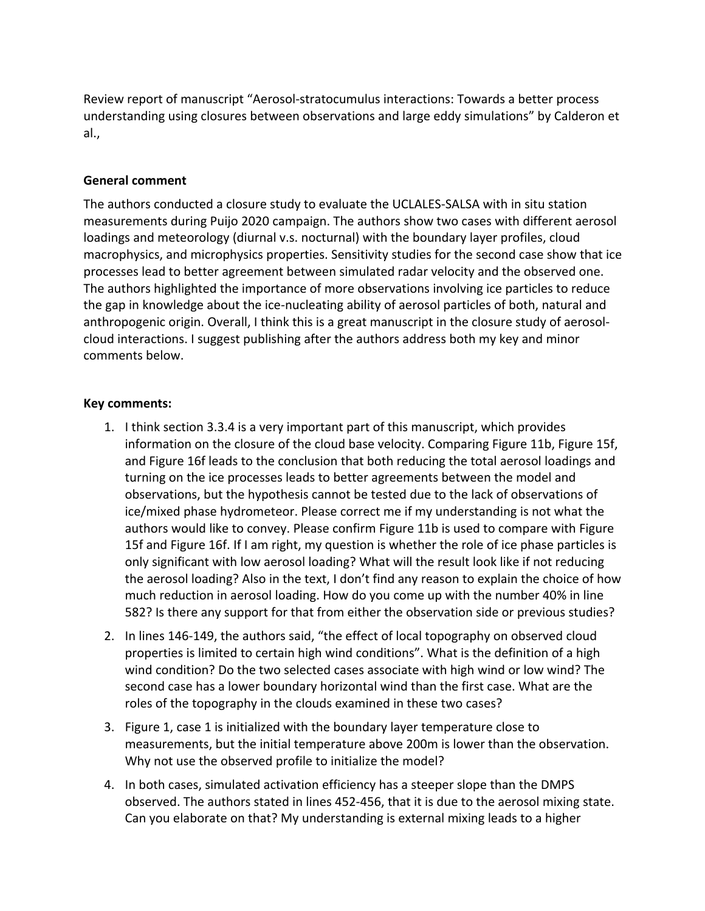Review report of manuscript "Aerosol-stratocumulus interactions: Towards a better process understanding using closures between observations and large eddy simulations" by Calderon et al.,

## **General comment**

The authors conducted a closure study to evaluate the UCLALES-SALSA with in situ station measurements during Puijo 2020 campaign. The authors show two cases with different aerosol loadings and meteorology (diurnal v.s. nocturnal) with the boundary layer profiles, cloud macrophysics, and microphysics properties. Sensitivity studies for the second case show that ice processes lead to better agreement between simulated radar velocity and the observed one. The authors highlighted the importance of more observations involving ice particles to reduce the gap in knowledge about the ice-nucleating ability of aerosol particles of both, natural and anthropogenic origin. Overall, I think this is a great manuscript in the closure study of aerosolcloud interactions. I suggest publishing after the authors address both my key and minor comments below.

## **Key comments:**

- 1. I think section 3.3.4 is a very important part of this manuscript, which provides information on the closure of the cloud base velocity. Comparing Figure 11b, Figure 15f, and Figure 16f leads to the conclusion that both reducing the total aerosol loadings and turning on the ice processes leads to better agreements between the model and observations, but the hypothesis cannot be tested due to the lack of observations of ice/mixed phase hydrometeor. Please correct me if my understanding is not what the authors would like to convey. Please confirm Figure 11b is used to compare with Figure 15f and Figure 16f. If I am right, my question is whether the role of ice phase particles is only significant with low aerosol loading? What will the result look like if not reducing the aerosol loading? Also in the text, I don't find any reason to explain the choice of how much reduction in aerosol loading. How do you come up with the number 40% in line 582? Is there any support for that from either the observation side or previous studies?
- 2. In lines 146-149, the authors said, "the effect of local topography on observed cloud properties is limited to certain high wind conditions". What is the definition of a high wind condition? Do the two selected cases associate with high wind or low wind? The second case has a lower boundary horizontal wind than the first case. What are the roles of the topography in the clouds examined in these two cases?
- 3. Figure 1, case 1 is initialized with the boundary layer temperature close to measurements, but the initial temperature above 200m is lower than the observation. Why not use the observed profile to initialize the model?
- 4. In both cases, simulated activation efficiency has a steeper slope than the DMPS observed. The authors stated in lines 452-456, that it is due to the aerosol mixing state. Can you elaborate on that? My understanding is external mixing leads to a higher